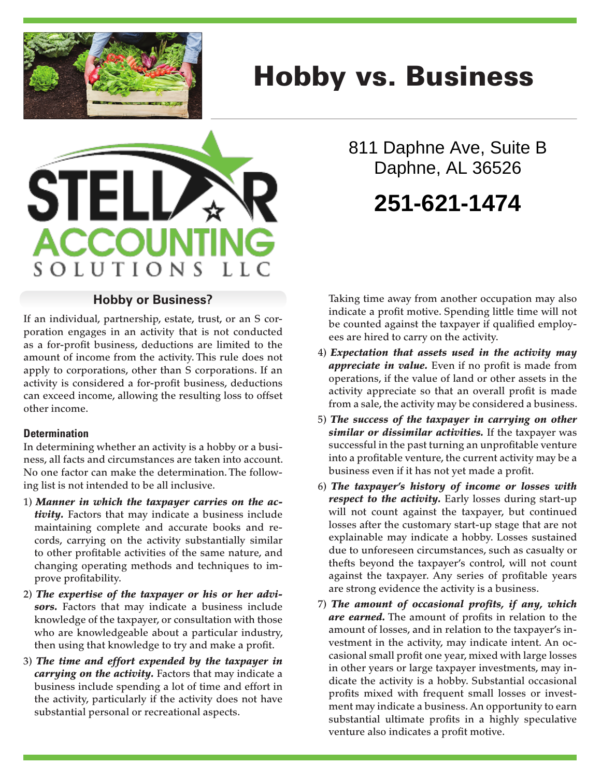

# Hobby vs. Business



## **Hobby or Business?**

If an individual, partnership, estate, trust, or an S corporation engages in an activity that is not conducted as a for-profit business, deductions are limited to the amount of income from the activity. This rule does not apply to corporations, other than S corporations. If an activity is considered a for-profit business, deductions can exceed income, allowing the resulting loss to offset other income.

#### **Determination**

In determining whether an activity is a hobby or a business, all facts and circumstances are taken into account. No one factor can make the determination. The following list is not intended to be all inclusive.

- 1) *Manner in which the taxpayer carries on the activity.* Factors that may indicate a business include maintaining complete and accurate books and records, carrying on the activity substantially similar to other profitable activities of the same nature, and changing operating methods and techniques to improve profitability.
- 2) *The expertise of the taxpayer or his or her advisors.* Factors that may indicate a business include knowledge of the taxpayer, or consultation with those who are knowledgeable about a particular industry, then using that knowledge to try and make a profit.
- 3) *The time and effort expended by the taxpayer in carrying on the activity.* Factors that may indicate a business include spending a lot of time and effort in the activity, particularly if the activity does not have substantial personal or recreational aspects.

811 Daphne Ave, Suite B Daphne, AL 36526 **251-621-1474**

Taking time away from another occupation may also indicate a profit motive. Spending little time will not be counted against the taxpayer if qualified employees are hired to carry on the activity.

- 4) *Expectation that assets used in the activity may appreciate in value.* Even if no profit is made from operations, if the value of land or other assets in the activity appreciate so that an overall profit is made from a sale, the activity may be considered a business.
- 5) *The success of the taxpayer in carrying on other similar or dissimilar activities.* If the taxpayer was successful in the past turning an unprofitable venture into a profitable venture, the current activity may be a business even if it has not yet made a profit.
- 6) *The taxpayer's history of income or losses with respect to the activity.* Early losses during start-up will not count against the taxpayer, but continued losses after the customary start-up stage that are not explainable may indicate a hobby. Losses sustained due to unforeseen circumstances, such as casualty or thefts beyond the taxpayer's control, will not count against the taxpayer. Any series of profitable years are strong evidence the activity is a business.
- 7) *The amount of occasional profits, if any, which are earned.* The amount of profits in relation to the amount of losses, and in relation to the taxpayer's investment in the activity, may indicate intent. An occasional small profit one year, mixed with large losses in other years or large taxpayer investments, may indicate the activity is a hobby. Substantial occasional profits mixed with frequent small losses or investment may indicate a business. An opportunity to earn substantial ultimate profits in a highly speculative venture also indicates a profit motive.